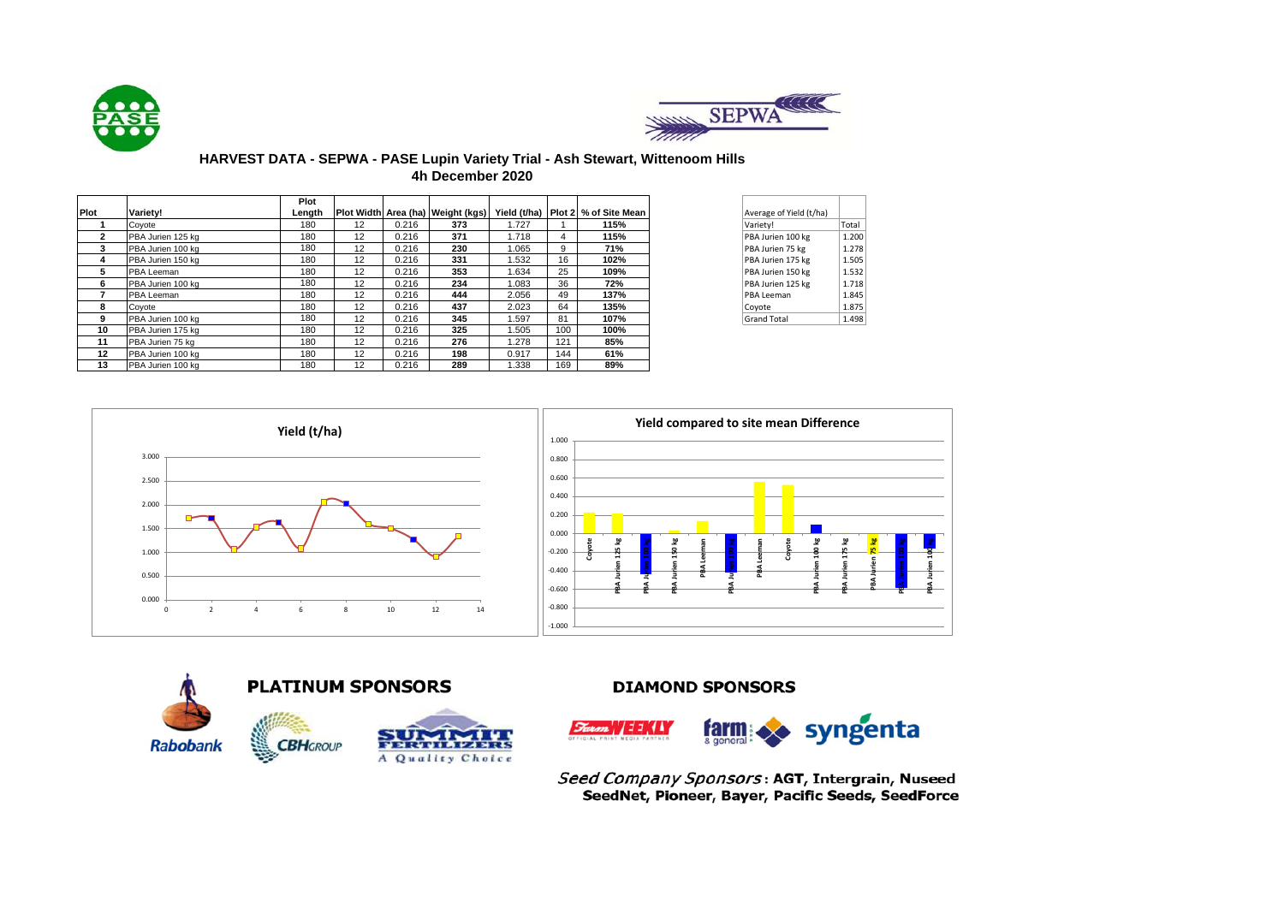



### **HARVEST DATA - SEPWA - PASE Lupin Variety Trial - Ash Stewart, Wittenoom Hills 4h December 2020**

|              |                   | Plot   |                   |       |                                   |       |     |                                    |                         |       |
|--------------|-------------------|--------|-------------------|-------|-----------------------------------|-------|-----|------------------------------------|-------------------------|-------|
| Plot         | Variety!          | Length |                   |       | Plot Width Area (ha) Weight (kgs) |       |     | Yield (t/ha) Plot 2 % of Site Mean | Average of Yield (t/ha) |       |
|              | Coyote            | 180    | 12                | 0.216 | 373                               | 1.727 |     | 115%                               | Variety!                | Total |
| $\mathbf{2}$ | PBA Jurien 125 kg | 180    | 12                | 0.216 | 371                               | 1.718 | 4   | 115%                               | PBA Jurien 100 kg       | 1.200 |
| 3            | PBA Jurien 100 kg | 180    | 12                | 0.216 | 230                               | 1.065 | 9   | 71%                                | PBA Jurien 75 kg        | 1.278 |
| 4            | PBA Jurien 150 kg | 180    | 12                | 0.216 | 331                               | 1.532 | 16  | 102%                               | PBA Jurien 175 kg       | 1.505 |
| 5            | PBA Leeman        | 180    | 12                | 0.216 | 353                               | 1.634 | 25  | 109%                               | PBA Jurien 150 kg       | 1.532 |
| 6            | PBA Jurien 100 kg | 180    | 12                | 0.216 | 234                               | 1.083 | 36  | 72%                                | PBA Jurien 125 kg       | 1.718 |
|              | PBA Leeman        | 180    | 12                | 0.216 | 444                               | 2.056 | 49  | 137%                               | PBA Leeman              | 1.845 |
| 8            | Covote            | 180    | 12                | 0.216 | 437                               | 2.023 | 64  | 135%                               | Coyote                  | 1.875 |
| 9            | PBA Jurien 100 kg | 180    | 12                | 0.216 | 345                               | 1.597 | 81  | 107%                               | <b>Grand Total</b>      | 1.498 |
| 10           | PBA Jurien 175 kg | 180    | 12                | 0.216 | 325                               | 1.505 | 100 | 100%                               |                         |       |
| 11           | PBA Jurien 75 kg  | 180    | 12                | 0.216 | 276                               | 1.278 | 121 | 85%                                |                         |       |
| 12           | PBA Jurien 100 kg | 180    | 12                | 0.216 | 198                               | 0.917 | 144 | 61%                                |                         |       |
| 13           | PBA Jurien 100 kg | 180    | $12 \overline{ }$ | 0.216 | 289                               | 1.338 | 169 | 89%                                |                         |       |

| Average of Yield (t/ha) |       |
|-------------------------|-------|
|                         |       |
| Variety!                | Total |
| PBA Jurien 100 kg       | 1.200 |
| PBA Jurien 75 kg        | 1.278 |
| PBA Jurien 175 kg       | 1.505 |
| PBA Jurien 150 kg       | 1.532 |
| PBA Jurien 125 kg       | 1.718 |
| PBA Leeman              | 1.845 |
| Coyote                  | 1.875 |
| <b>Grand Total</b>      | 1.498 |





## **DIAMOND SPONSORS**



Seed Company Sponsors: AGT, Intergrain, Nuseed SeedNet, Pioneer, Bayer, Pacific Seeds, SeedForce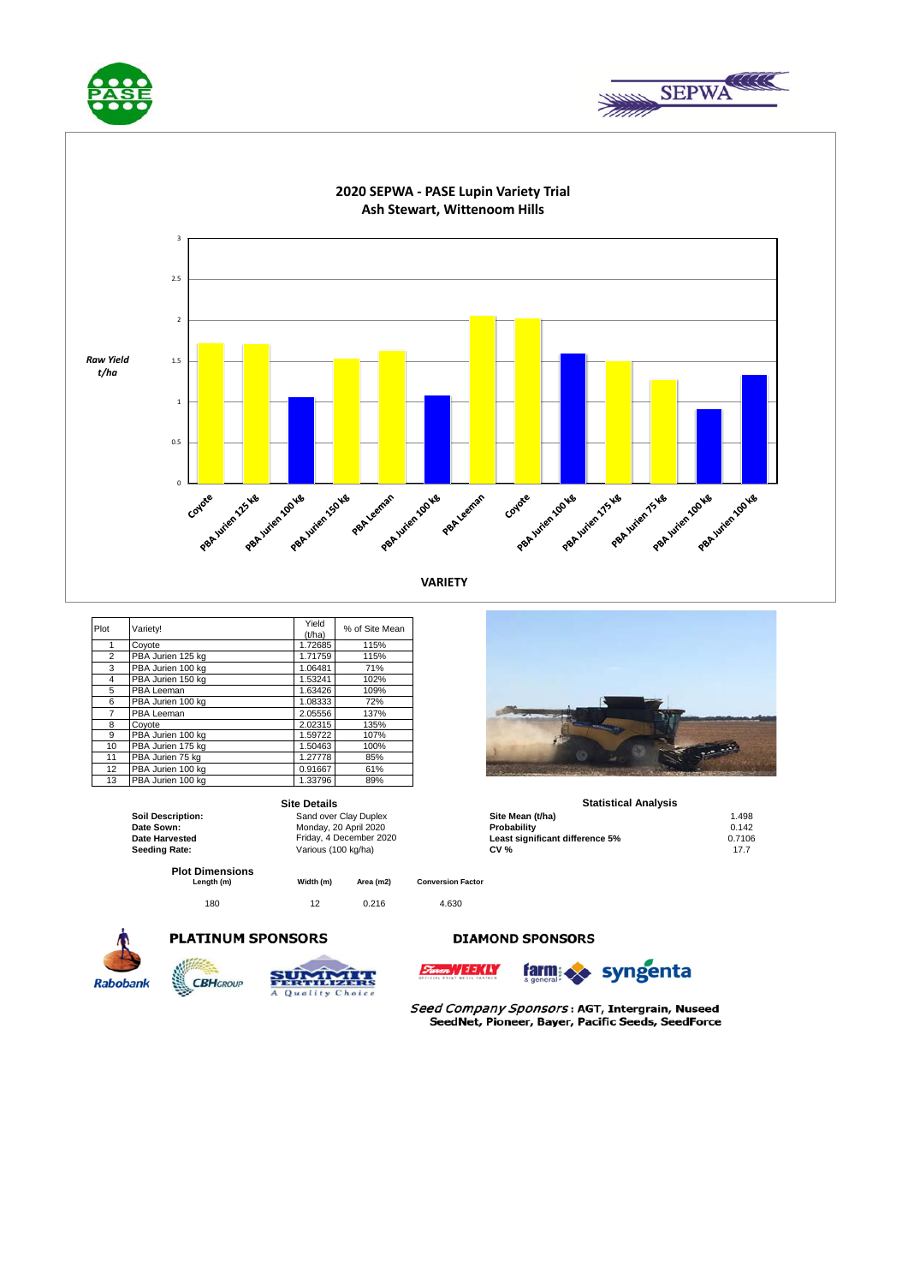





| Plot           | Variety!          | Yield<br>(t/ha) | % of Site Mean |
|----------------|-------------------|-----------------|----------------|
| 1              | Coyote            | 1.72685         | 115%           |
| $\overline{2}$ | PBA Jurien 125 kg | 1.71759         | 115%           |
| 3              | PBA Jurien 100 kg | 1.06481         | 71%            |
| 4              | PBA Jurien 150 kg | 1.53241         | 102%           |
| 5              | PBA Leeman        | 1.63426         | 109%           |
| 6              | PBA Jurien 100 kg | 1.08333         | 72%            |
| 7              | PBA Leeman        | 2.05556         | 137%           |
| 8              | Covote            | 2.02315         | 135%           |
| 9              | PBA Jurien 100 kg | 1.59722         | 107%           |
| 10             | PBA Jurien 175 kg | 1.50463         | 100%           |
| 11             | PBA Jurien 75 kg  | 1.27778         | 85%            |
| 12             | PBA Jurien 100 kg | 0.91667         | 61%            |
| 13             | PBA Jurien 100 kg | 1.33796         | 89%            |

|                                      | <b>Site Details</b>   |                         |                          | <b>Statistical Analysis</b>     |        |  |  |
|--------------------------------------|-----------------------|-------------------------|--------------------------|---------------------------------|--------|--|--|
| <b>Soil Description:</b>             | Sand over Clay Duplex |                         |                          | Site Mean (t/ha)                | 1.498  |  |  |
| Date Sown:                           | Monday, 20 April 2020 |                         |                          | Probability                     | 0.142  |  |  |
| Date Harvested                       |                       | Friday, 4 December 2020 |                          | Least significant difference 5% | 0.7106 |  |  |
| Seeding Rate:                        | Various (100 kg/ha)   |                         |                          | <b>CV %</b>                     | 17.7   |  |  |
| <b>Plot Dimensions</b><br>Length (m) | Width (m)             | Area (m2)               | <b>Conversion Factor</b> |                                 |        |  |  |
| 180                                  | 12                    | 0.216                   | 4.630                    |                                 |        |  |  |









**DIAMOND SPONSORS** 



Seed Company Sponsors: AGT, Intergrain, Nuseed SeedNet, Pioneer, Bayer, Pacific Seeds, SeedForce



### **Site Details Statistical Analysis**

| olalistivai Alialvsis           |        |
|---------------------------------|--------|
| Site Mean (t/ha)                | 1.498  |
| Probabilitv                     | 0.142  |
| Least significant difference 5% | 0.7106 |
| CV %                            | 177    |